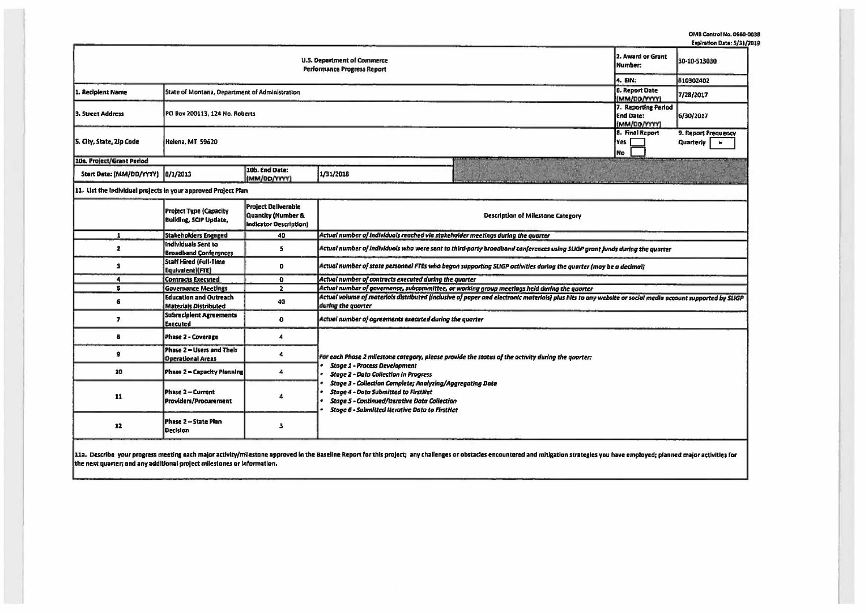|                                                                |                                                                |                                                                            |                                                                                                                                                                                                                                                                                                                                                                                                                         |  | Expiration Date: 5/31/2 |  |  |  |  |  |
|----------------------------------------------------------------|----------------------------------------------------------------|----------------------------------------------------------------------------|-------------------------------------------------------------------------------------------------------------------------------------------------------------------------------------------------------------------------------------------------------------------------------------------------------------------------------------------------------------------------------------------------------------------------|--|-------------------------|--|--|--|--|--|
|                                                                | 2. Award or Grant<br>Number:                                   | 30-10-513030                                                               |                                                                                                                                                                                                                                                                                                                                                                                                                         |  |                         |  |  |  |  |  |
|                                                                | 4. EIN:                                                        | 810302402                                                                  |                                                                                                                                                                                                                                                                                                                                                                                                                         |  |                         |  |  |  |  |  |
| . Recipient Name                                               | State of Montana, Department of Administration                 | <b>6. Report Date</b><br>(MM/DD/YYYY)                                      | 7/28/2017                                                                                                                                                                                                                                                                                                                                                                                                               |  |                         |  |  |  |  |  |
| 3. Street Address                                              | PO Box 200113, 124 No. Roberts                                 | 7. Reporting Period<br><b>End Date:</b><br>(MM/DD/YYYY)                    | 6/30/2017                                                                                                                                                                                                                                                                                                                                                                                                               |  |                         |  |  |  |  |  |
| S. City, State, Zip Code                                       | Helena, MT 59620                                               | 8. Final Report<br>Yes<br>No.                                              | 9. Report Frequency<br>Quarterly<br>$\pmb{\times}$                                                                                                                                                                                                                                                                                                                                                                      |  |                         |  |  |  |  |  |
| 10a. Project/Grant Period                                      |                                                                |                                                                            |                                                                                                                                                                                                                                                                                                                                                                                                                         |  |                         |  |  |  |  |  |
| Start Date: (MM/DD/YYYY) 8/1/2013                              |                                                                | 10b. End Date:<br>(MM/DD/YYYY)                                             | 1/31/2018                                                                                                                                                                                                                                                                                                                                                                                                               |  |                         |  |  |  |  |  |
| 11. List the individual projects in your approved Project Plan |                                                                |                                                                            |                                                                                                                                                                                                                                                                                                                                                                                                                         |  |                         |  |  |  |  |  |
|                                                                | <b>Project Type (Capacity</b><br><b>Building, SCIP Update,</b> | <b>Project Deliverable</b><br>Quantity (Number &<br>Indicator Description) | <b>Description of Milestone Category</b>                                                                                                                                                                                                                                                                                                                                                                                |  |                         |  |  |  |  |  |
| $\mathbf{1}$                                                   | <b>Stakeholders Engaged</b>                                    | 40                                                                         | Actual number of individuals reached via stakeholder meetings during the quarter                                                                                                                                                                                                                                                                                                                                        |  |                         |  |  |  |  |  |
| $\overline{\mathbf{z}}$                                        | <b>Individuals Sent to</b><br><b>Broadband Conferences</b>     | 5                                                                          | Actual number of individuals who were sent to third-party broadband conferences using SLIGP grant funds during the quarter                                                                                                                                                                                                                                                                                              |  |                         |  |  |  |  |  |
| з                                                              | <b>Staff Hired (Full-Time</b><br>Equivalent)(FTE)              | 0                                                                          | Actual number of state personnel FTEs who began supporting SLIGP activities during the quarter (may be a decimal)                                                                                                                                                                                                                                                                                                       |  |                         |  |  |  |  |  |
| $\blacktriangleleft$                                           | <b>Contracts Executed</b>                                      | $\mathbf{O}$                                                               | Actual number of contracts executed during the quarter                                                                                                                                                                                                                                                                                                                                                                  |  |                         |  |  |  |  |  |
| 5                                                              | <b>Governance Meetings</b>                                     | $\overline{2}$                                                             | Actual number of governance, subcommittee, or working group meetings held during the quarter                                                                                                                                                                                                                                                                                                                            |  |                         |  |  |  |  |  |
| 6                                                              | <b>Education and Outreach</b><br><b>Materials Distributed</b>  | 40                                                                         | Actual volume of materials distributed (inclusive of paper and electronic materials) plus hits to any website or social media account supported by SLIGP<br>during the quarter                                                                                                                                                                                                                                          |  |                         |  |  |  |  |  |
| 7                                                              | <b>Subrecipient Agreements</b><br><b>Executed</b>              | $\mathbf{0}$                                                               | Actual number of agreements executed during the quarter                                                                                                                                                                                                                                                                                                                                                                 |  |                         |  |  |  |  |  |
| в                                                              | Phase 2 - Coverage                                             | 4                                                                          |                                                                                                                                                                                                                                                                                                                                                                                                                         |  |                         |  |  |  |  |  |
| 9                                                              | Phase 2 - Users and Their<br><b>Operational Areas</b>          | $\ddot{a}$                                                                 | For each Phase 2 milestone category, please provide the status of the activity during the quarter:<br><b>Stage 1 - Process Development</b><br><b>Stage 2 - Data Collection in Progress</b><br>Stage 3 - Collection Complete; Analyzing/Aggregating Data<br><b>Stage 4 - Data Submitted to FirstNet</b><br><b>Stage 5 - Continued/Iterative Data Collection</b><br><b>Stage 6 - Submitted Iterative Data to FirstNet</b> |  |                         |  |  |  |  |  |
| 10                                                             | Phase 2 - Capacity Planning                                    | 4                                                                          |                                                                                                                                                                                                                                                                                                                                                                                                                         |  |                         |  |  |  |  |  |
| 11                                                             | Phase 2 - Current<br>Providers/Procurement                     |                                                                            |                                                                                                                                                                                                                                                                                                                                                                                                                         |  |                         |  |  |  |  |  |
| 12                                                             | Phase 2 - State Plan<br><b>Decision</b>                        | 3                                                                          |                                                                                                                                                                                                                                                                                                                                                                                                                         |  |                         |  |  |  |  |  |
|                                                                |                                                                |                                                                            |                                                                                                                                                                                                                                                                                                                                                                                                                         |  |                         |  |  |  |  |  |

11a. Describe your progress meeting each major activity/milestone approved in the Baseline Report for this project; any challenges or obstacles encountered and mitigation strategies you have employed; planned major activit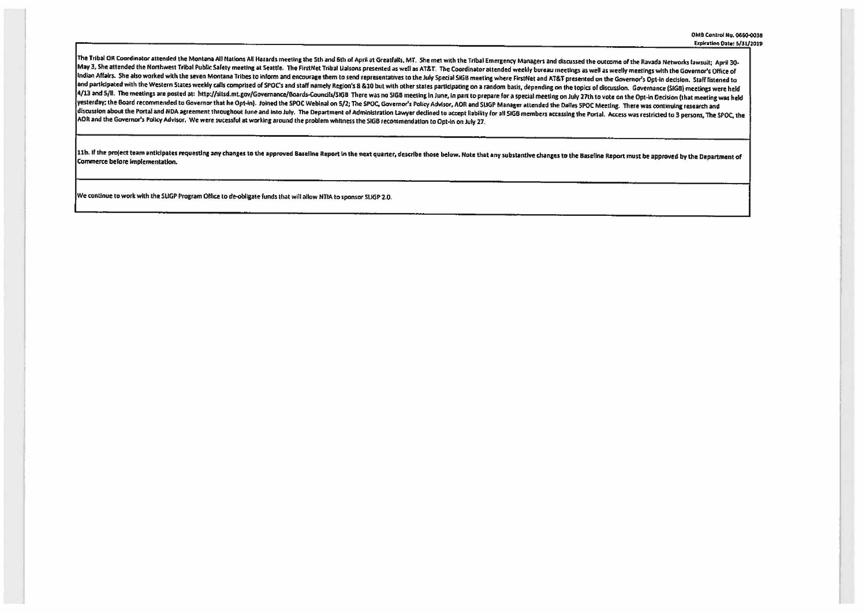The Tribal OR Coordinator attended the Montana All Nations All Hazards meeting the 5th and 6th of April at Greatfalls, MT. She met with the Tribal Emergency Managers and discussed the outcome of the Ravada Networks lawsuit May 3, She attended the Northwest Tribal Public Safety meeting at Seattle. The FirstNet Tribal Lialsons presented as well as AT&T. The Coordinator attended weekly bureau meetings as well as weelly meetings with the Governo Indian Affairs. She also worked with the seven Montana Tribes to inform and encourage them to send representatives to the July Special SIGB meeting where FirstNet and AT&T presented on the Governor's Opt-in decision. Staff and participated with the Western States weekly calls comprised of SPOC's and staff namely Region's 8 & 10 but with other states participating on a random basis, depending on the topics of discussion. Governance (SIGB) mee 4/13 and 5/ll. The meetings are posted at: http://sitsd.mt.gov/Governance/Boards-Councils/SIGB There was no SIGB meeting in June, in part to prepare for a special meeting on July 27th to vote on the Opt-in Decision (that m yesterday: the Board recommended to Governor that he Opt-in). Joined the SPOC Webinal on 5/2; The SPOC, Governor's Policy Advisor, AOR and SUGP Manager attended the Dallas SPOC Meeting. There was continuing research and discussion about the Portal and NDA agreement throughout June and into July. The Department of Administration Lawyer declined to accept llability for all SIGB members accessing the Portal. Access was restricted to 3 person AOR and the Governor's Policy Advisor. We were sucessful at working around the problem whitness the SIGB recommendation to Opt-In on July 27.

11b. If the project team anticipates requesting any changes to the approved Baseline Report in the next quarter, describe those below. Note that any substantive changes to the Baseline Report must be approved by the Depart Commerce before implementation.

We continue to work with the SUGP Program Office to de-obligate funds that will allow NTIA to sponsor SUGP 2.0.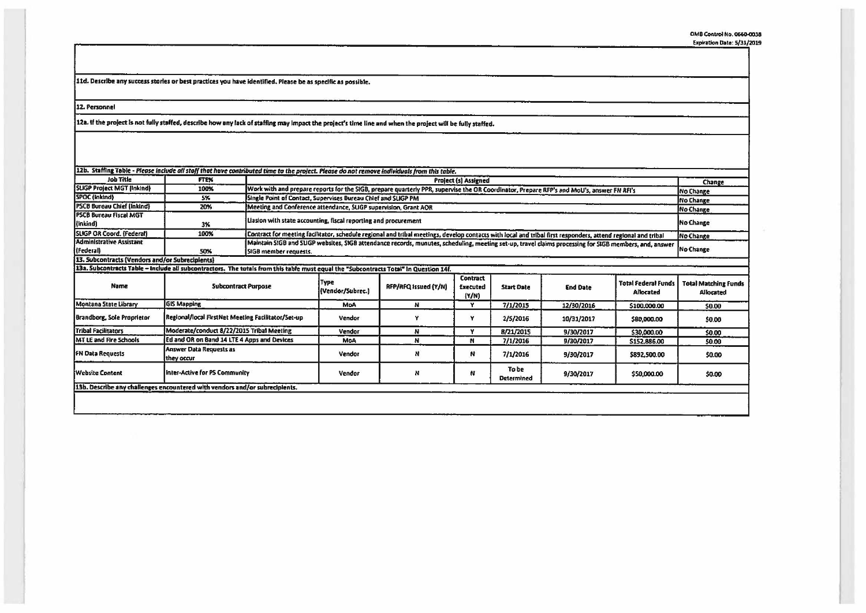11d. Describe any success stories or best practices you have identified. Please be as specific as possible.

12. Personnel

12a. If the project is not fully staffed, describe how any fack of staffing may impact the project's time line and when the project will be fully staffed.

| 12b. Staffing Table - Please include all stoff that have contributed time to the project. Please do not remove individuals from this table. |                            |                                                                                                                                                              |                                                                                                                                                        |                      |                                      |                   |                 |                                         |                                          |  |
|---------------------------------------------------------------------------------------------------------------------------------------------|----------------------------|--------------------------------------------------------------------------------------------------------------------------------------------------------------|--------------------------------------------------------------------------------------------------------------------------------------------------------|----------------------|--------------------------------------|-------------------|-----------------|-----------------------------------------|------------------------------------------|--|
| <b>Job Title</b>                                                                                                                            | <b>FTEX</b>                |                                                                                                                                                              | <b>Project (s) Assigned</b>                                                                                                                            |                      |                                      |                   |                 |                                         |                                          |  |
| SUGP Project MGT (Inkind)                                                                                                                   | 100%                       | Work with and prepare reports for the SIGB, prepare quarterly PPR, supervise the OR Coordinator, Prepare RFP's and MoU's, answer FN RFI's                    |                                                                                                                                                        |                      |                                      |                   |                 |                                         | Change<br><b>No Change</b>               |  |
| SPOC (Inkind)                                                                                                                               | 5%                         | Single Point of Contact, Supervises Bureau Chief and SUGP PM                                                                                                 |                                                                                                                                                        |                      |                                      |                   |                 |                                         |                                          |  |
| <b>PSCB Bureau Chief (Inkind)</b>                                                                                                           | 20%                        | Meeting and Conference attendance, SUGP supervision, Grant AOR                                                                                               |                                                                                                                                                        |                      |                                      |                   |                 |                                         | <b>No Change</b><br>No Change            |  |
| <b>PSCB Bureau Fiscal MGT</b><br>[{Inkind]                                                                                                  | 3%                         | Liasion with state accounting, fiscal reporting and procurement                                                                                              |                                                                                                                                                        |                      |                                      |                   |                 |                                         | No Change                                |  |
| <b>SUGP OR Coord. (Federal)</b>                                                                                                             | 100%                       | Contract for meeting facilitator, schedule regional and tribal meetings, develop contacts with local and tribal first responders, attend regional and tribal |                                                                                                                                                        |                      |                                      |                   |                 |                                         | Mo Change                                |  |
| Administrative Assistant                                                                                                                    |                            |                                                                                                                                                              | Maintain SIGB and SLIGP websites, SIGB attendance records, munutes, scheduling, meeting set-up, travel claims processing for SIGB members, and, answer |                      |                                      |                   |                 |                                         |                                          |  |
| (Federal)                                                                                                                                   | 50%                        | No Change<br>SIGB member requests.                                                                                                                           |                                                                                                                                                        |                      |                                      |                   |                 |                                         |                                          |  |
| 13. Subcontracts (Vendors and/or Subrecipients)                                                                                             |                            |                                                                                                                                                              |                                                                                                                                                        |                      |                                      |                   |                 |                                         |                                          |  |
| 13a. Subcontracts Table - Include all subcontractors. The totals from this table must equal the "Subcontracts Total" in Question 14f.       |                            |                                                                                                                                                              |                                                                                                                                                        |                      |                                      |                   |                 |                                         |                                          |  |
| Name                                                                                                                                        | <b>Subcontract Purpose</b> |                                                                                                                                                              | Type<br>(Vendor/Subrec.)                                                                                                                               | RFP/RFQ Issued (Y/N) | <b>Contract</b><br>Executed<br>(Y/N) | <b>Start Date</b> | <b>End Date</b> | <b>Total Federal Funds</b><br>Allocated | <b>Total Matching Funds</b><br>Allocated |  |
| Montana State Library                                                                                                                       | <b>GIS Mapping</b>         |                                                                                                                                                              | <b>MoA</b>                                                                                                                                             |                      |                                      | 7/1/2015          | 12/30/2016      | \$100,000.00                            | <b>SO.OO</b>                             |  |

|                                                                                  |                                                                             |            |   | 11/N |                            |            |              |        |
|----------------------------------------------------------------------------------|-----------------------------------------------------------------------------|------------|---|------|----------------------------|------------|--------------|--------|
| Montana State Library                                                            | <b>GIS Mapping</b>                                                          | <b>MoA</b> |   |      | 7/1/2015                   | 12/30/2016 | \$100,000.00 | \$0.00 |
| Regional/local FirstNet Meeting Facilitator/Set-up<br>Brandborg, Sole Proprietor |                                                                             | Vendor     |   |      | 2/5/2016                   | 10/31/2017 | \$80,000,00  | \$0.00 |
| Tribal Facilitators                                                              | Moderate/conduct 8/22/2015 Tribal Meeting                                   | Vendor     |   |      | 8/21/2015                  | 9/30/2017  | \$30,000.00  | \$0.00 |
| <b>MT LE and Fire Schools</b>                                                    | <b>IEd and OR on Band 14 LTE 4 Apps and Devices</b>                         | MoA        |   |      | 7/1/2016                   | 9/30/2017  | 5152,886.00  | 50.00  |
| FN Data Requests                                                                 | Answer Data Requests as<br>they occur                                       | Vendor     | N | N    | 7/1/2016                   | 9/30/2017  | \$892,500.00 | \$0.00 |
| <b>Website Content</b>                                                           | Inter-Active for PS Community                                               | Vendor     | N | N    | To be<br><b>Determined</b> | 9/30/2017  | \$50,000.00  | \$0.00 |
|                                                                                  | 13b. Describe any challenges encountered with vendors and/or subrecipients. |            |   |      |                            |            |              |        |
|                                                                                  |                                                                             |            |   |      |                            |            |              |        |
|                                                                                  |                                                                             |            |   |      |                            |            |              |        |